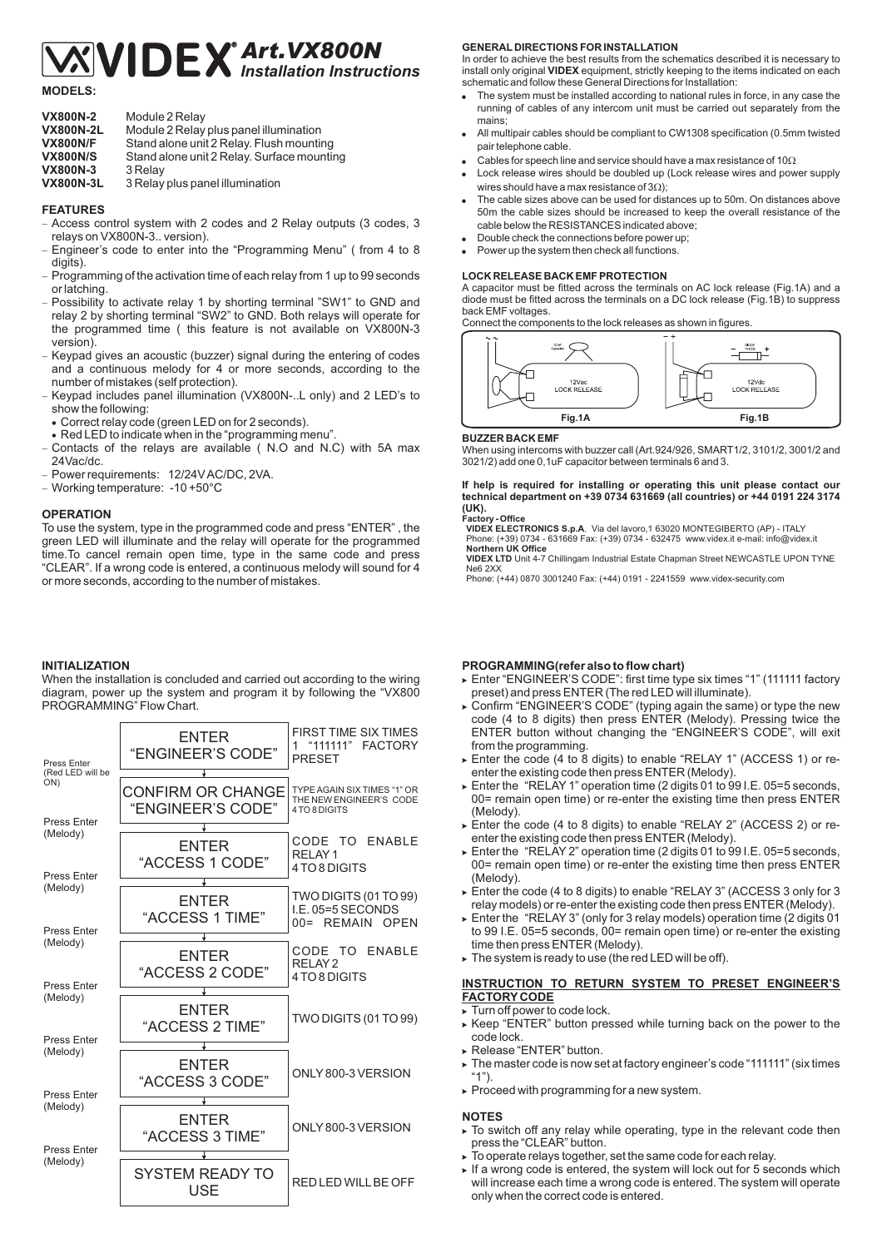# *Art.VX800N Installation Instructions*

**MODELS:**

| <b>VX800N-2</b>  | Module 2 Relay                             |
|------------------|--------------------------------------------|
| <b>VX800N-2L</b> | Module 2 Relay plus panel illumination     |
| <b>VX800N/F</b>  | Stand alone unit 2 Relay. Flush mounting   |
| <b>VX800N/S</b>  | Stand alone unit 2 Relay. Surface mounting |
| <b>VX800N-3</b>  | 3 Relay                                    |
| <b>VX800N-3L</b> | 3 Relay plus panel illumination            |
|                  |                                            |

# **FEATURES**

Access control system with 2 codes and 2 Relay outputs (3 codes, 3 relays on VX800N-3.. version). -

- Engineer's code to enter into the "Programming Menu" ( from 4 to 8 digits). -
- Programming of the activation time of each relay from 1 up to 99 seconds or latching. -
- Possibility to activate relay 1 by shorting terminal "SW1" to GND and relay 2 by shorting terminal "SW2" to GND. Both relays will operate for the programmed time ( this feature is not available on VX800N-3 version). -
- Keypad gives an acoustic (buzzer) signal during the entering of codes and a continuous melody for 4 or more seconds, according to the number of mistakes (self protection). -
- Keypad includes panel illumination (VX800N-..L only) and 2 LED's to show the following: -
- Correct relay code (green LED on for 2 seconds).
- Red LED to indicate when in the "programming menu".
- Contacts of the relays are available ( N.O and N.C) with 5A max 24Vac/dc. -
- Power requirements: 12/24V AC/DC, 2VA.
- Working temperature: -10 +50°C

### **OPERATION**

To use the system, type in the programmed code and press "ENTER" , the green LED will illuminate and the relay will operate for the programmed time.To cancel remain open time, type in the same code and press "CLEAR". If a wrong code is entered, a continuous melody will sound for 4 or more seconds, according to the number of mistakes.

# **INITIALIZATION**

When the installation is concluded and carried out according to the wiring diagram, power up the system and program it by following the "VX800 PROGRAMMING" Flow Chart.

| Press Enter<br>(Red LED will be | ENTER<br>"ENGINEER'S CODE"<br>÷               | FIRST TIME SIX TIMES<br>"111111"<br><b>FACTORY</b><br>1<br><b>PRESET</b> |
|---------------------------------|-----------------------------------------------|--------------------------------------------------------------------------|
| ON)<br><b>Press Enter</b>       | <b>CONFIRM OR CHANGE</b><br>"ENGINEER'S CODE" | TYPE AGAIN SIX TIMES "1" OR<br>THE NEW ENGINEER'S CODE<br>4 TO 8 DIGITS  |
| (Melody)<br><b>Press Enter</b>  | ENTER<br>"ACCESS 1 CODE"                      | CODE TO ENABLE<br>RELAY <sub>1</sub><br>4TO 8 DIGITS                     |
| (Melody)<br><b>Press Enter</b>  | <b>ENTER</b><br>"ACCESS 1 TIME"               | TWO DIGITS (01 TO 99)<br>I.E. 05=5 SECONDS<br>00= REMAIN OPEN            |
| (Melody)<br>Press Enter         | ENTER<br>"ACCESS 2 CODE"                      | CODE TO ENABLE<br>RELAY <sub>2</sub><br>4 TO 8 DIGITS                    |
| (Melody)<br>Press Enter         | <b>FNTFR</b><br>"ACCESS 2 TIME"               | TWO DIGITS (01 TO 99)                                                    |
| (Melody)<br><b>Press Enter</b>  | <b>ENTER</b><br>"ACCESS 3 CODE"               | ONLY 800-3 VERSION                                                       |
| (Melody)<br><b>Press Enter</b>  | ENTER<br>"ACCESS 3 TIME"                      | ONLY 800-3 VERSION                                                       |
| (Melody)                        | SYSTEM READY TO<br>USE                        | RED LED WILL BE OFF                                                      |

## **GENERAL DIRECTIONS FOR INSTALLATION**

In order to achieve the best results from the schematics described it is necessary to install only original VIDEX equipment, strictly keeping to the items indicated on each schematic and follow these General Directions for Installation:

- The system must be installed according to national rules in force, in any case the running of cables of any intercom unit must be carried out separately from the mains; .
- All multipair cables should be compliant to CW1308 specification (0.5mm twisted pair telephone cable.  $\bullet$
- Cables for speech line and service should have a max resistance of 10 $\Omega$ ė
- Lock release wires should be doubled up (Lock release wires and power supply wires should have a max resistance of  $3\Omega$ ); .
- The cable sizes above can be used for distances up to 50m. On distances above 50m the cable sizes should be increased to keep the overall resistance of the cable below the RESISTANCES indicated above; .
- Double check the connections before power up; .
- Power up the system then check all functions. ė

#### **LOCK RELEASE BACK EMF PROTECTION**

A capacitor must be fitted across the terminals on AC lock release (Fig.1A) and a diode must be fitted across the terminals on a DC lock release (Fig.1B) to suppress back EMF voltages.

Connect the components to the lock releases as shown in figures.



#### **BUZZER BACK EMF**

When using intercoms with buzzer call (Art.924/926, SMART1/2, 3101/2, 3001/2 and 3021/2) add one 0,1uF capacitor between terminals 6 and 3.

# **If help is required for installing or operating this unit please contact our technical department on +39 0734 631669 (all countries) or +44 0191 224 3174 (UK).**

**Factory - Office VIDEX ELECTRONICS S.p.A VIDEX ELECTRONICS S.p.A**. Via del lavoro,1 63020 MONTEGIBERTO (AP) - ITALY<br>Phone: (+39) 0734 - 631669 Fax: (+39) 0734 - 632475 www.videx.it e-mail: info@videx.it

**Northern UK Office VIDEX LTD VIDEX LTD** Unit 4-7 Chillingam Industrial Estate Chapman Street NEWCASTLE UPON TYNE<br>Ne6 2XX

Phone: (+44) 0870 3001240 Fax: (+44) 0191 - 2241559 www.videx-security.com

## **PROGRAMMING(refer also to flow chart)**

- ► Enter "ENGINEER'S CODE": first time type six times "1" (111111 factory preset) and press ENTER (The red LED will illuminate).
- Confirm "ENGINEER'S CODE" (typing again the same) or type the new code (4 to 8 digits) then press ENTER (Melody). Pressing twice the ENTER button without changing the "ENGINEER'S CODE", will exit from the programming.
- Enter the code (4 to 8 digits) to enable "RELAY 1" (ACCESS 1) or reenter the existing code then press ENTER (Melody).
- Enter the "RELAY 1" operation time (2 digits 01 to 99 I.E. 05=5 seconds, 00= remain open time) or re-enter the existing time then press ENTER (Melody).
- Enter the code (4 to 8 digits) to enable "RELAY 2" (ACCESS 2) or reenter the existing code then press ENTER (Melody).
- Enter the "RELAY 2" operation time (2 digits 01 to 99 I.E. 05=5 seconds, 00= remain open time) or re-enter the existing time then press ENTER (Melody).
- Enter the code (4 to 8 digits) to enable "RELAY 3" (ACCESS 3 only for 3 relay models) or re-enter the existing code then press ENTER (Melody).
- Enter the "RELAY 3" (only for 3 relay models) operation time (2 digits 01 to 99 I.E. 05=5 seconds, 00= remain open time) or re-enter the existing time then press ENTER (Melody).
- $\triangleright$  The system is ready to use (the red LED will be off).

# **INSTRUCTION TO RETURN SYSTEM TO PRESET ENGINEER'S FACTORY CODE**

- Turn off power to code lock. -
- Keep "ENTER" button pressed while turning back on the power to the code lock.
- Release "ENTER" button. -
- The master code is now set at factory engineer's code "111111" (six times "1").
- Proceed with programming for a new system. -

#### **NOTES**

- To switch off any relay while operating, type in the relevant code then press the "CLEAR" button.
- To operate relays together, set the same code for each relay. -
- If a wrong code is entered, the system will lock out for 5 seconds which will increase each time a wrong code is entered. The system will operate only when the correct code is entered.